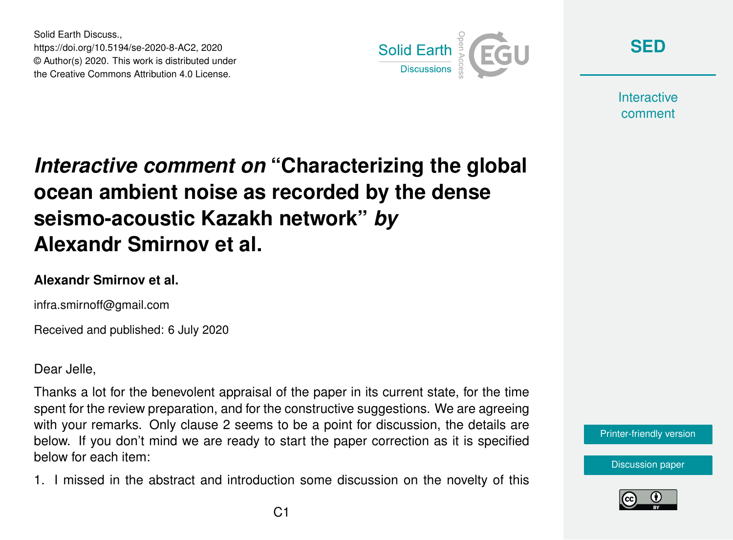Solid Earth Discuss., https://doi.org/10.5194/se-2020-8-AC2, 2020 © Author(s) 2020. This work is distributed under the Creative Commons Attribution 4.0 License.



**[SED](https://se.copernicus.org/preprints/)**

**Interactive** comment

## *Interactive comment on* **"Characterizing the global ocean ambient noise as recorded by the dense seismo-acoustic Kazakh network"** *by* **Alexandr Smirnov et al.**

## **Alexandr Smirnov et al.**

infra.smirnoff@gmail.com

Received and published: 6 July 2020

Dear Jelle,

Thanks a lot for the benevolent appraisal of the paper in its current state, for the time spent for the review preparation, and for the constructive suggestions. We are agreeing with your remarks. Only clause 2 seems to be a point for discussion, the details are below. If you don't mind we are ready to start the paper correction as it is specified below for each item:

1. I missed in the abstract and introduction some discussion on the novelty of this



[Discussion paper](https://se.copernicus.org/preprints/se-2020-8)

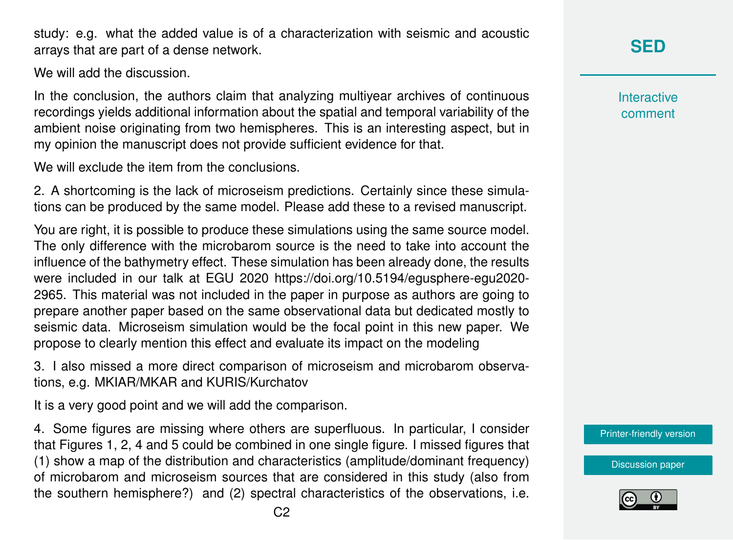study: e.g. what the added value is of a characterization with seismic and acoustic arrays that are part of a dense network.

We will add the discussion.

In the conclusion, the authors claim that analyzing multiyear archives of continuous recordings yields additional information about the spatial and temporal variability of the ambient noise originating from two hemispheres. This is an interesting aspect, but in my opinion the manuscript does not provide sufficient evidence for that.

We will exclude the item from the conclusions.

2. A shortcoming is the lack of microseism predictions. Certainly since these simulations can be produced by the same model. Please add these to a revised manuscript.

You are right, it is possible to produce these simulations using the same source model. The only difference with the microbarom source is the need to take into account the influence of the bathymetry effect. These simulation has been already done, the results were included in our talk at EGU 2020 https://doi.org/10.5194/egusphere-egu2020- 2965. This material was not included in the paper in purpose as authors are going to prepare another paper based on the same observational data but dedicated mostly to seismic data. Microseism simulation would be the focal point in this new paper. We propose to clearly mention this effect and evaluate its impact on the modeling

3. I also missed a more direct comparison of microseism and microbarom observations, e.g. MKIAR/MKAR and KURIS/Kurchatov

It is a very good point and we will add the comparison.

4. Some figures are missing where others are superfluous. In particular, I consider that Figures 1, 2, 4 and 5 could be combined in one single figure. I missed figures that (1) show a map of the distribution and characteristics (amplitude/dominant frequency) of microbarom and microseism sources that are considered in this study (also from the southern hemisphere?) and (2) spectral characteristics of the observations, i.e.

**[SED](https://se.copernicus.org/preprints/)**

**Interactive** comment

[Printer-friendly version](https://se.copernicus.org/preprints/se-2020-8/se-2020-8-AC2-print.pdf)

[Discussion paper](https://se.copernicus.org/preprints/se-2020-8)